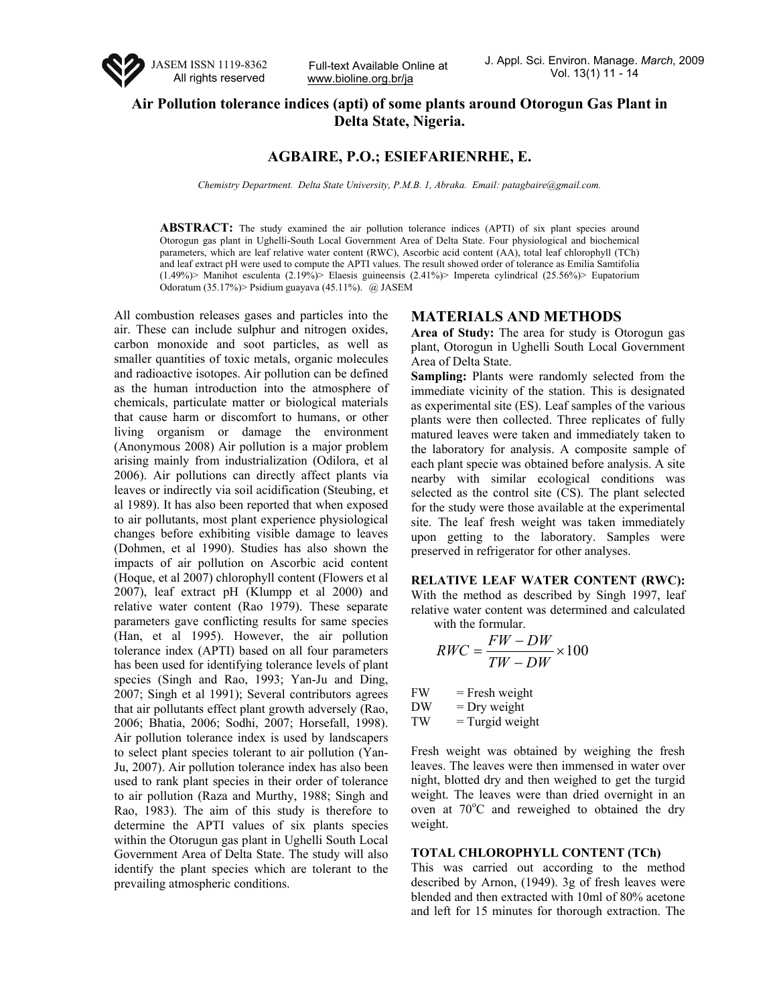

www.bioline.org.br/ja

# **Air Pollution tolerance indices (apti) of some plants around Otorogun Gas Plant in Delta State, Nigeria.**

## **AGBAIRE, P.O.; ESIEFARIENRHE, E.**

*Chemistry Department. Delta State University, P.M.B. 1, Abraka. Email: patagbaire@gmail.com.* 

ABSTRACT: The study examined the air pollution tolerance indices (APTI) of six plant species around Otorogun gas plant in Ughelli-South Local Government Area of Delta State. Four physiological and biochemical parameters, which are leaf relative water content (RWC), Ascorbic acid content (AA), total leaf chlorophyll (TCh) and leaf extract pH were used to compute the APTI values. The result showed order of tolerance as Emilia Samtifolia (1.49%)> Manihot esculenta (2.19%)> Elaesis guineensis (2.41%)> Impereta cylindrical (25.56%)> Eupatorium Odoratum (35.17%)> Psidium guayava (45.11%). @ JASEM

All combustion releases gases and particles into the air. These can include sulphur and nitrogen oxides, carbon monoxide and soot particles, as well as smaller quantities of toxic metals, organic molecules and radioactive isotopes. Air pollution can be defined as the human introduction into the atmosphere of chemicals, particulate matter or biological materials that cause harm or discomfort to humans, or other living organism or damage the environment (Anonymous 2008) Air pollution is a major problem arising mainly from industrialization (Odilora, et al 2006). Air pollutions can directly affect plants via leaves or indirectly via soil acidification (Steubing, et al 1989). It has also been reported that when exposed to air pollutants, most plant experience physiological changes before exhibiting visible damage to leaves (Dohmen, et al 1990). Studies has also shown the impacts of air pollution on Ascorbic acid content (Hoque, et al 2007) chlorophyll content (Flowers et al 2007), leaf extract pH (Klumpp et al 2000) and relative water content (Rao 1979). These separate parameters gave conflicting results for same species (Han, et al 1995). However, the air pollution tolerance index (APTI) based on all four parameters has been used for identifying tolerance levels of plant species (Singh and Rao, 1993; Yan-Ju and Ding, 2007; Singh et al 1991); Several contributors agrees that air pollutants effect plant growth adversely (Rao, 2006; Bhatia, 2006; Sodhi, 2007; Horsefall, 1998). Air pollution tolerance index is used by landscapers to select plant species tolerant to air pollution (Yan-Ju, 2007). Air pollution tolerance index has also been used to rank plant species in their order of tolerance to air pollution (Raza and Murthy, 1988; Singh and Rao, 1983). The aim of this study is therefore to determine the APTI values of six plants species within the Otorugun gas plant in Ughelli South Local Government Area of Delta State. The study will also identify the plant species which are tolerant to the prevailing atmospheric conditions.

## **MATERIALS AND METHODS**

**Area of Study:** The area for study is Otorogun gas plant, Otorogun in Ughelli South Local Government Area of Delta State.

**Sampling:** Plants were randomly selected from the immediate vicinity of the station. This is designated as experimental site (ES). Leaf samples of the various plants were then collected. Three replicates of fully matured leaves were taken and immediately taken to the laboratory for analysis. A composite sample of each plant specie was obtained before analysis. A site nearby with similar ecological conditions was selected as the control site (CS). The plant selected for the study were those available at the experimental site. The leaf fresh weight was taken immediately upon getting to the laboratory. Samples were preserved in refrigerator for other analyses.

**RELATIVE LEAF WATER CONTENT (RWC):** With the method as described by Singh 1997, leaf relative water content was determined and calculated with the formular.

$$
RWC = \frac{FW - DW}{TW - DW} \times 100
$$

 $FW =$  Fresh weight

 $DW = Dry weight$ 

 $TW = Turgid weight$ 

Fresh weight was obtained by weighing the fresh leaves. The leaves were then immensed in water over night, blotted dry and then weighed to get the turgid weight. The leaves were than dried overnight in an oven at 70°C and reweighed to obtained the dry weight.

### **TOTAL CHLOROPHYLL CONTENT (TCh)**

This was carried out according to the method described by Arnon, (1949). 3g of fresh leaves were blended and then extracted with 10ml of 80% acetone and left for 15 minutes for thorough extraction. The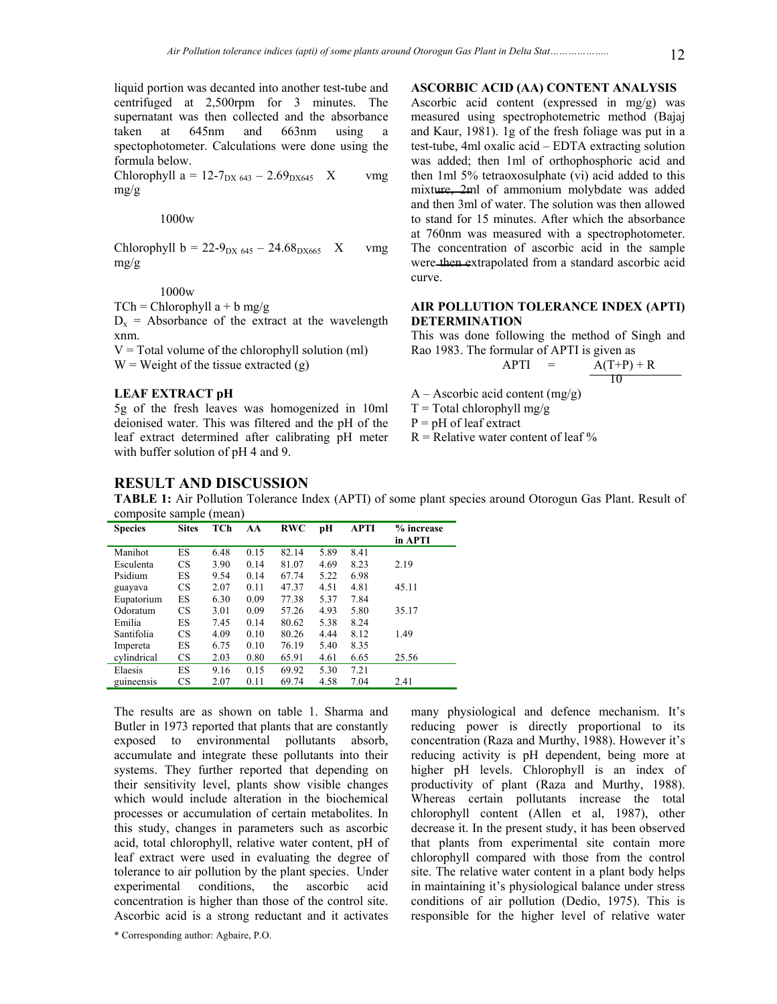liquid portion was decanted into another test-tube and centrifuged at 2,500rpm for 3 minutes. The supernatant was then collected and the absorbance taken at 645nm and 663nm using a spectophotometer. Calculations were done using the formula below.

Chlorophyll a =  $12-7_{\text{DX }643} - 2.69_{\text{DX }645}$  X vmg mg/g

1000w

Chlorophyll b =  $22-9_{px\,645} - 24.68_{px\,665}$  X vmg mg/g

### 1000w

 $TCh = Chlorophyll a + b mg/g$ 

 $D_x$  = Absorbance of the extract at the wavelength xnm.

 $V = Total volume of the chlorophyll solution (ml)$  $W = Weight of the tissue extracted (g)$ 

#### **LEAF EXTRACT pH**

5g of the fresh leaves was homogenized in 10ml deionised water. This was filtered and the pH of the leaf extract determined after calibrating pH meter with buffer solution of pH 4 and 9.

#### **ASCORBIC ACID (AA) CONTENT ANALYSIS**

Ascorbic acid content (expressed in mg/g) was measured using spectrophotemetric method (Bajaj and Kaur, 1981). 1g of the fresh foliage was put in a test-tube, 4ml oxalic acid – EDTA extracting solution was added; then 1ml of orthophosphoric acid and then 1ml 5% tetraoxosulphate (vi) acid added to this mixture, 2ml of ammonium molybdate was added and then 3ml of water. The solution was then allowed to stand for 15 minutes. After which the absorbance at 760nm was measured with a spectrophotometer. The concentration of ascorbic acid in the sample were then extrapolated from a standard ascorbic acid curve.

## **AIR POLLUTION TOLERANCE INDEX (APTI) DETERMINATION**

This was done following the method of Singh and Rao 1983. The formular of APTI is given as

 $APTI = A(T+P) + R$ 10

 $A - A$ scorbic acid content (mg/g)

 $T = Total chlorophyll mg/g$ 

 $P = pH$  of leaf extract

 $R$  = Relative water content of leaf  $\%$ 

## **RESULT AND DISCUSSION**

**TABLE 1:** Air Pollution Tolerance Index (APTI) of some plant species around Otorogun Gas Plant. Result of composite sample (mean)

| <b>Species</b> | <b>Sites</b> | TCh  | AA   | <b>RWC</b> | рH   | <b>APTI</b> | % increase<br>in APTI |
|----------------|--------------|------|------|------------|------|-------------|-----------------------|
| Manihot        | ES           | 6.48 | 0.15 | 82.14      | 5.89 | 8.41        |                       |
| Esculenta      | <b>CS</b>    | 3.90 | 0.14 | 81.07      | 4.69 | 8.23        | 2.19                  |
| Psidium        | ES           | 9.54 | 0.14 | 67.74      | 5.22 | 6.98        |                       |
| guayava        | <b>CS</b>    | 2.07 | 0.11 | 47.37      | 4.51 | 4.81        | 45.11                 |
| Eupatorium     | ES           | 6.30 | 0.09 | 77.38      | 5.37 | 7.84        |                       |
| Odoratum       | CS           | 3.01 | 0.09 | 57.26      | 4.93 | 5.80        | 35.17                 |
| Emilia         | ES           | 7.45 | 0.14 | 80.62      | 5.38 | 8.24        |                       |
| Santifolia     | <b>CS</b>    | 4.09 | 0.10 | 80.26      | 4.44 | 8.12        | 1.49                  |
| Impereta       | ES           | 6.75 | 0.10 | 76.19      | 5.40 | 8.35        |                       |
| cylindrical    | <b>CS</b>    | 2.03 | 0.80 | 65.91      | 4.61 | 6.65        | 25.56                 |
| Elaesis        | ES           | 9.16 | 0.15 | 69.92      | 5.30 | 7.21        |                       |
| guineensis     | <b>CS</b>    | 2.07 | 0.11 | 69.74      | 4.58 | 7.04        | 2.41                  |

The results are as shown on table 1. Sharma and Butler in 1973 reported that plants that are constantly exposed to environmental pollutants absorb, accumulate and integrate these pollutants into their systems. They further reported that depending on their sensitivity level, plants show visible changes which would include alteration in the biochemical processes or accumulation of certain metabolites. In this study, changes in parameters such as ascorbic acid, total chlorophyll, relative water content, pH of leaf extract were used in evaluating the degree of tolerance to air pollution by the plant species. Under experimental conditions, the ascorbic acid concentration is higher than those of the control site. Ascorbic acid is a strong reductant and it activates

\* Corresponding author: Agbaire, P.O.

many physiological and defence mechanism. It's reducing power is directly proportional to its concentration (Raza and Murthy, 1988). However it's reducing activity is pH dependent, being more at higher pH levels. Chlorophyll is an index of productivity of plant (Raza and Murthy, 1988). Whereas certain pollutants increase the total chlorophyll content (Allen et al, 1987), other decrease it. In the present study, it has been observed that plants from experimental site contain more chlorophyll compared with those from the control site. The relative water content in a plant body helps in maintaining it's physiological balance under stress conditions of air pollution (Dedio, 1975). This is responsible for the higher level of relative water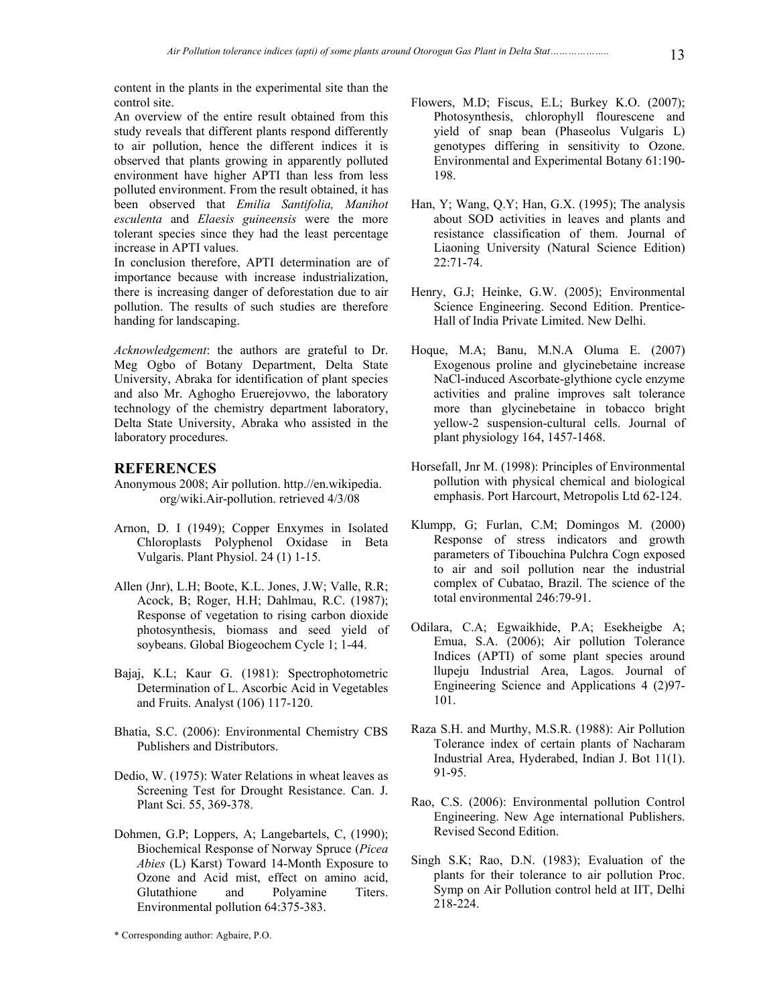content in the plants in the experimental site than the control site.

An overview of the entire result obtained from this study reveals that different plants respond differently to air pollution, hence the different indices it is observed that plants growing in apparently polluted environment have higher APTI than less from less polluted environment. From the result obtained, it has been observed that *Emilia Santifolia, Manihot esculenta* and *Elaesis guineensis* were the more tolerant species since they had the least percentage increase in APTI values.

In conclusion therefore, APTI determination are of importance because with increase industrialization, there is increasing danger of deforestation due to air pollution. The results of such studies are therefore handing for landscaping.

*Acknowledgement*: the authors are grateful to Dr. Meg Ogbo of Botany Department, Delta State University, Abraka for identification of plant species and also Mr. Aghogho Eruerejovwo, the laboratory technology of the chemistry department laboratory, Delta State University, Abraka who assisted in the laboratory procedures.

## **REFERENCES**

- Anonymous 2008; Air pollution. http.//en.wikipedia. org/wiki.Air-pollution. retrieved 4/3/08
- Arnon, D. I (1949); Copper Enxymes in Isolated Chloroplasts Polyphenol Oxidase in Beta Vulgaris. Plant Physiol. 24 (1) 1-15.
- Allen (Jnr), L.H; Boote, K.L. Jones, J.W; Valle, R.R; Acock, B; Roger, H.H; Dahlmau, R.C. (1987); Response of vegetation to rising carbon dioxide photosynthesis, biomass and seed yield of soybeans. Global Biogeochem Cycle 1; 1-44.
- Bajaj, K.L; Kaur G. (1981): Spectrophotometric Determination of L. Ascorbic Acid in Vegetables and Fruits. Analyst (106) 117-120.
- Bhatia, S.C. (2006): Environmental Chemistry CBS Publishers and Distributors.
- Dedio, W. (1975): Water Relations in wheat leaves as Screening Test for Drought Resistance. Can. J. Plant Sci. 55, 369-378.
- Dohmen, G.P; Loppers, A; Langebartels, C, (1990); Biochemical Response of Norway Spruce (*Picea Abies* (L) Karst) Toward 14-Month Exposure to Ozone and Acid mist, effect on amino acid, Glutathione and Polyamine Titers. Environmental pollution 64:375-383.
- Flowers, M.D; Fiscus, E.L; Burkey K.O. (2007); Photosynthesis, chlorophyll flourescene and yield of snap bean (Phaseolus Vulgaris L) genotypes differing in sensitivity to Ozone. Environmental and Experimental Botany 61:190- 198.
- Han, Y; Wang, Q.Y; Han, G.X. (1995); The analysis about SOD activities in leaves and plants and resistance classification of them. Journal of Liaoning University (Natural Science Edition) 22:71-74.
- Henry, G.J; Heinke, G.W. (2005); Environmental Science Engineering. Second Edition. Prentice-Hall of India Private Limited. New Delhi.
- Hoque, M.A; Banu, M.N.A Oluma E. (2007) Exogenous proline and glycinebetaine increase NaCl-induced Ascorbate-glythione cycle enzyme activities and praline improves salt tolerance more than glycinebetaine in tobacco bright yellow-2 suspension-cultural cells. Journal of plant physiology 164, 1457-1468.
- Horsefall, Jnr M. (1998): Principles of Environmental pollution with physical chemical and biological emphasis. Port Harcourt, Metropolis Ltd 62-124.
- Klumpp, G; Furlan, C.M; Domingos M. (2000) Response of stress indicators and growth parameters of Tibouchina Pulchra Cogn exposed to air and soil pollution near the industrial complex of Cubatao, Brazil. The science of the total environmental 246:79-91.
- Odilara, C.A; Egwaikhide, P.A; Esekheigbe A; Emua, S.A. (2006); Air pollution Tolerance Indices (APTI) of some plant species around llupeju Industrial Area, Lagos. Journal of Engineering Science and Applications 4 (2)97- 101.
- Raza S.H. and Murthy, M.S.R. (1988): Air Pollution Tolerance index of certain plants of Nacharam Industrial Area, Hyderabed, Indian J. Bot 11(1). 91-95.
- Rao, C.S. (2006): Environmental pollution Control Engineering. New Age international Publishers. Revised Second Edition.
- Singh S.K; Rao, D.N. (1983); Evaluation of the plants for their tolerance to air pollution Proc. Symp on Air Pollution control held at IIT, Delhi 218-224.

<sup>\*</sup> Corresponding author: Agbaire, P.O.